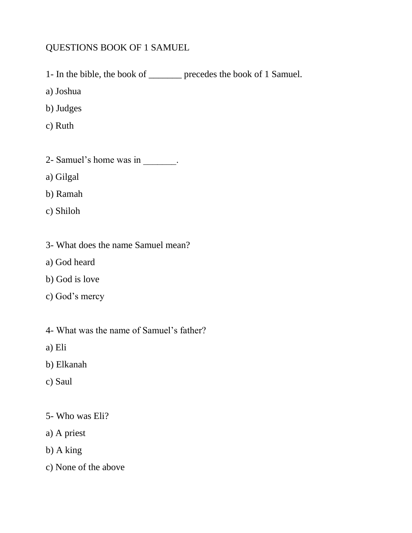## QUESTIONS BOOK OF 1 SAMUEL

- 1- In the bible, the book of \_\_\_\_\_\_\_ precedes the book of 1 Samuel.
- a) Joshua
- b) Judges
- c) Ruth
- 2- Samuel's home was in  $\frac{1}{\sqrt{2\pi}}$ .
- a) Gilgal
- b) Ramah
- c) Shiloh
- 3- What does the name Samuel mean?
- a) God heard
- b) God is love
- c) God's mercy
- 4- What was the name of Samuel's father?
- a) Eli
- b) Elkanah
- c) Saul
- 5- Who was Eli?
- a) A priest
- b) A king
- c) None of the above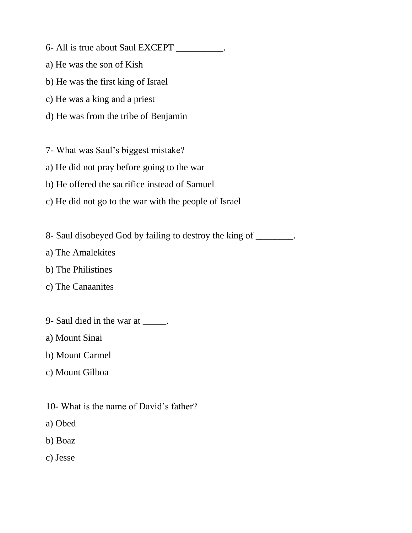- 6- All is true about Saul EXCEPT \_\_\_\_\_\_\_\_\_\_.
- a) He was the son of Kish
- b) He was the first king of Israel
- c) He was a king and a priest
- d) He was from the tribe of Benjamin
- 7- What was Saul's biggest mistake?
- a) He did not pray before going to the war
- b) He offered the sacrifice instead of Samuel
- c) He did not go to the war with the people of Israel
- 8- Saul disobeyed God by failing to destroy the king of \_\_\_\_\_\_\_\_.
- a) The Amalekites
- b) The Philistines
- c) The Canaanites
- 9- Saul died in the war at \_\_\_\_\_.
- a) Mount Sinai
- b) Mount Carmel
- c) Mount Gilboa
- 10- What is the name of David's father?
- a) Obed
- b) Boaz
- c) Jesse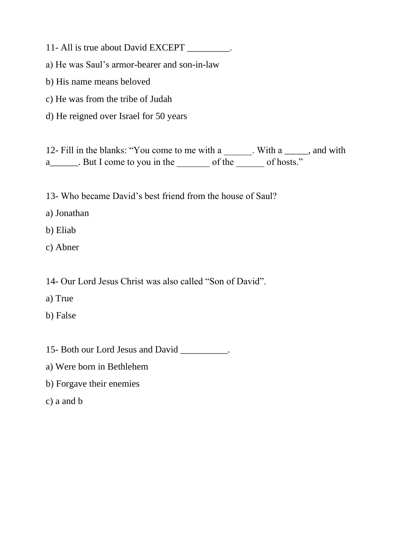11- All is true about David EXCEPT \_\_\_\_\_\_\_\_\_.

a) He was Saul's armor-bearer and son-in-law

b) His name means beloved

c) He was from the tribe of Judah

d) He reigned over Israel for 50 years

12- Fill in the blanks: "You come to me with a \_\_\_\_\_\_. With a \_\_\_\_\_, and with a\_\_\_\_\_\_. But I come to you in the \_\_\_\_\_\_\_\_ of the \_\_\_\_\_\_\_ of hosts."

13- Who became David's best friend from the house of Saul?

a) Jonathan

b) Eliab

c) Abner

14- Our Lord Jesus Christ was also called "Son of David".

a) True

b) False

15- Both our Lord Jesus and David \_\_\_\_\_\_\_\_\_\_.

a) Were born in Bethlehem

b) Forgave their enemies

c) a and b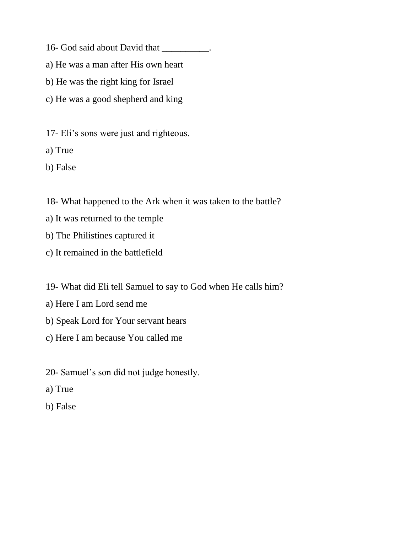- 16- God said about David that \_\_\_\_\_\_\_\_\_\_.
- a) He was a man after His own heart
- b) He was the right king for Israel
- c) He was a good shepherd and king
- 17- Eli's sons were just and righteous.
- a) True
- b) False
- 18- What happened to the Ark when it was taken to the battle?
- a) It was returned to the temple
- b) The Philistines captured it
- c) It remained in the battlefield
- 19- What did Eli tell Samuel to say to God when He calls him?
- a) Here I am Lord send me
- b) Speak Lord for Your servant hears
- c) Here I am because You called me
- 20- Samuel's son did not judge honestly.
- a) True
- b) False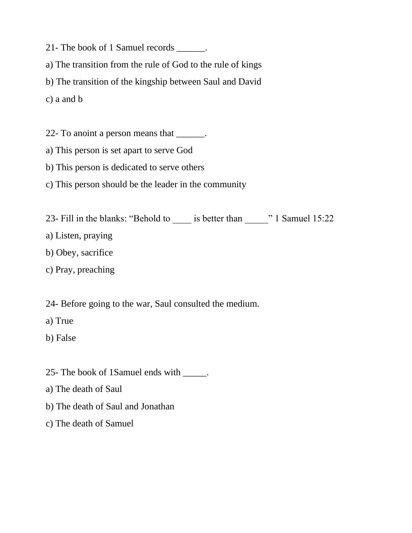21- The book of 1 Samuel records \_\_\_\_\_\_.

a) The transition from the rule of God to the rule of kings

b) The transition of the kingship between Saul and David

c) a and b

22- To anoint a person means that \_\_\_\_\_\_.

a) This person is set apart to serve God

b) This person is dedicated to serve others

c) This person should be the leader in the community

23- Fill in the blanks: "Behold to \_\_\_\_ is better than  $\cdots$  1 Samuel 15:22

a) Listen, praying

b) Obey, sacrifice

c) Pray, preaching

24- Before going to the war, Saul consulted the medium.

a) True

b) False

25- The book of 1Samuel ends with \_\_\_\_\_.

a) The death of Saul

b) The death of Saul and Jonathan

c) The death of Samuel